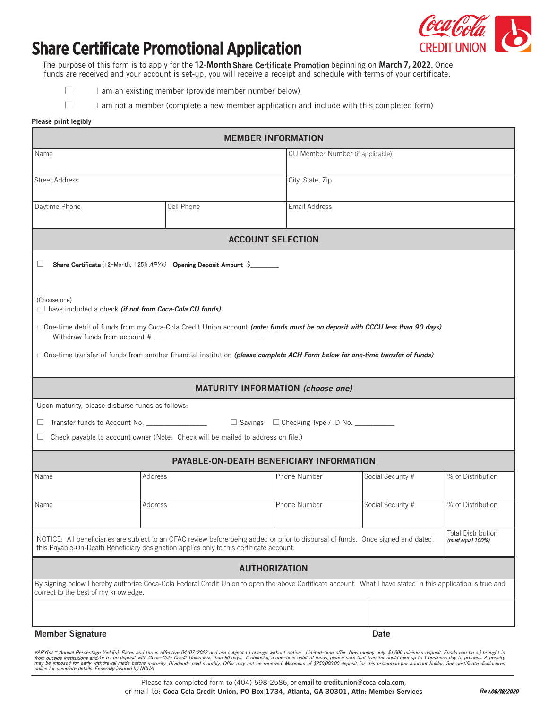

## **Share Certificate Promotional Application**

funds are received and your account is set-up, you will receive a receipt and schedule with terms of your certificate. one-time payments), in order to repay a loan with the Credit Union. The purpose of this form is to apply for the **12-Month** Share Certificate Promotion beginning on **March 7, 2022**. Once

| I am an existing member (provide member number below) |  |
|-------------------------------------------------------|--|
|-------------------------------------------------------|--|

I am not a member (complete a new member application and include with this completed form)

## **Please print legibly**

| <b>MEMBER INFORMATION</b>                                                                                                                                                                            |                                                                                 |                                  |                   |                   |  |  |
|------------------------------------------------------------------------------------------------------------------------------------------------------------------------------------------------------|---------------------------------------------------------------------------------|----------------------------------|-------------------|-------------------|--|--|
| Name                                                                                                                                                                                                 |                                                                                 | CU Member Number (if applicable) |                   |                   |  |  |
| <b>Street Address</b>                                                                                                                                                                                |                                                                                 | City, State, Zip                 |                   |                   |  |  |
|                                                                                                                                                                                                      |                                                                                 |                                  |                   |                   |  |  |
| Daytime Phone                                                                                                                                                                                        | Cell Phone                                                                      | Email Address                    |                   |                   |  |  |
| <b>ACCOUNT SELECTION</b>                                                                                                                                                                             |                                                                                 |                                  |                   |                   |  |  |
|                                                                                                                                                                                                      |                                                                                 |                                  |                   |                   |  |  |
|                                                                                                                                                                                                      | Share Certificate (12-Month, 1.25% APY*) Opening Deposit Amount \$              |                                  |                   |                   |  |  |
|                                                                                                                                                                                                      |                                                                                 |                                  |                   |                   |  |  |
| (Choose one)<br>$\Box$ I have included a check <i>(if not from Coca-Cola CU funds)</i>                                                                                                               |                                                                                 |                                  |                   |                   |  |  |
| □ One-time debit of funds from my Coca-Cola Credit Union account (note: funds must be on deposit with CCCU less than 90 days)                                                                        |                                                                                 |                                  |                   |                   |  |  |
| □ One-time transfer of funds from another financial institution (please complete ACH Form below for one-time transfer of funds)                                                                      |                                                                                 |                                  |                   |                   |  |  |
|                                                                                                                                                                                                      |                                                                                 |                                  |                   |                   |  |  |
| <b>MATURITY INFORMATION (choose one)</b>                                                                                                                                                             |                                                                                 |                                  |                   |                   |  |  |
| Upon maturity, please disburse funds as follows:                                                                                                                                                     |                                                                                 |                                  |                   |                   |  |  |
| ⊔                                                                                                                                                                                                    |                                                                                 |                                  |                   |                   |  |  |
| ப                                                                                                                                                                                                    | Check payable to account owner (Note: Check will be mailed to address on file.) |                                  |                   |                   |  |  |
| PAYABLE-ON-DEATH BENEFICIARY INFORMATION                                                                                                                                                             |                                                                                 |                                  |                   |                   |  |  |
| Name<br>Address                                                                                                                                                                                      |                                                                                 | Phone Number                     | Social Security # | % of Distribution |  |  |
| Address<br>Name                                                                                                                                                                                      |                                                                                 | Phone Number                     | Social Security # | % of Distribution |  |  |
|                                                                                                                                                                                                      |                                                                                 |                                  |                   |                   |  |  |
| Total Distribution<br>NOTICE: All beneficiaries are subject to an OFAC review before being added or prior to disbursal of funds. Once signed and dated,<br>(must equal 100%)                         |                                                                                 |                                  |                   |                   |  |  |
| this Payable-On-Death Beneficiary designation applies only to this certificate account.                                                                                                              |                                                                                 |                                  |                   |                   |  |  |
|                                                                                                                                                                                                      | <b>AUTHORIZATION</b>                                                            |                                  |                   |                   |  |  |
| By signing below I hereby authorize Coca-Cola Federal Credit Union to open the above Certificate account. What I have stated in this application is true and<br>correct to the best of my knowledge. |                                                                                 |                                  |                   |                   |  |  |
|                                                                                                                                                                                                      |                                                                                 |                                  |                   |                   |  |  |
| <b>Member Signature</b>                                                                                                                                                                              |                                                                                 |                                  | <b>Date</b>       |                   |  |  |

ACH Debit Authorization Form • Page 1 of 1 \*APY(s) = Annual Percentage Yield(s). Rates and terms effective 04/07/2022 and are subject to change without notice. Limited-time offer. New money only. \$1,000 minimum deposit. Funds can be a.) brought in from outside institutions and/or b.) on deposit with Coca-Cola Credit Union less than 90 days. If choosing a one-time debit of funds, please note that transfer could take up to 1 business day to process. A penalty<br>may be i